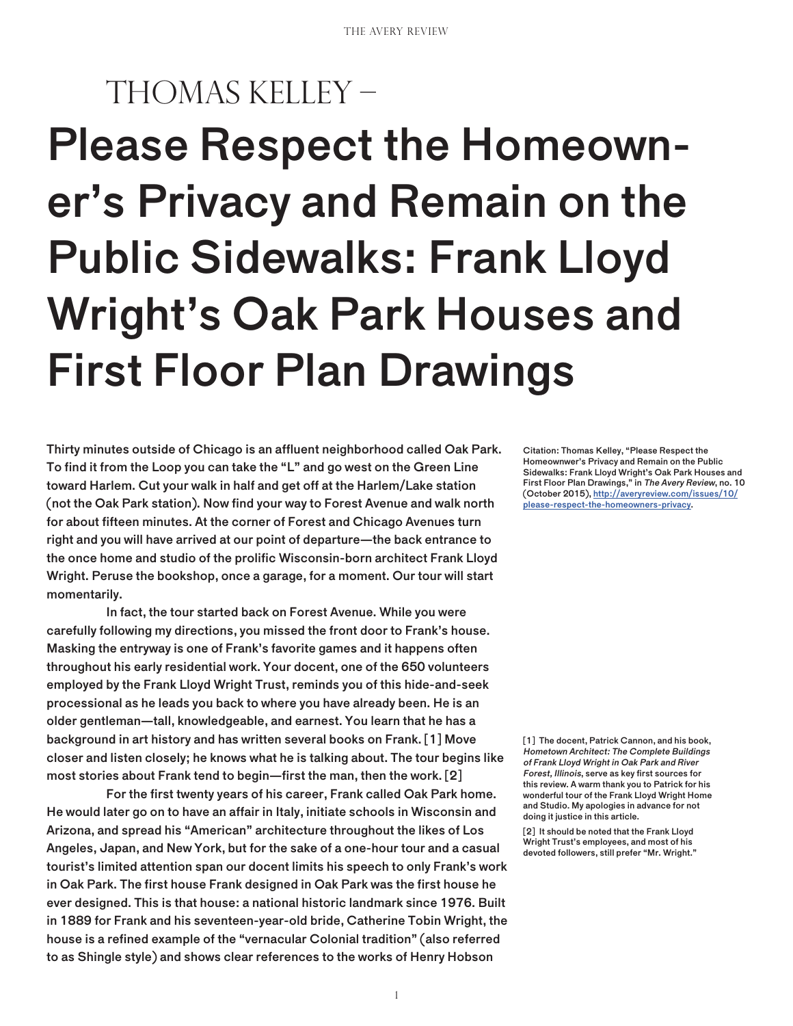# Please Respect the Homeowner's Privacy and Remain on the Public Sidewalks: Frank Lloyd Wright's Oak Park Houses and First Floor Plan Drawings Thomas Kelley –

Thirty minutes outside of Chicago is an affluent neighborhood called Oak Park. To find it from the Loop you can take the "L" and go west on the Green Line toward Harlem. Cut your walk in half and get off at the Harlem/Lake station (not the Oak Park station). Now find your way to Forest Avenue and walk north for about fifteen minutes. At the corner of Forest and Chicago Avenues turn right and you will have arrived at our point of departure—the back entrance to the once home and studio of the prolific Wisconsin-born architect Frank Lloyd Wright. Peruse the bookshop, once a garage, for a moment. Our tour will start momentarily.

In fact, the tour started back on Forest Avenue. While you were carefully following my directions, you missed the front door to Frank's house. Masking the entryway is one of Frank's favorite games and it happens often throughout his early residential work. Your docent, one of the 650 volunteers employed by the Frank Lloyd Wright Trust, reminds you of this hide-and-seek processional as he leads you back to where you have already been. He is an older gentleman—tall, knowledgeable, and earnest. You learn that he has a background in art history and has written several books on Frank. [1] Move closer and listen closely; he knows what he is talking about. The tour begins like most stories about Frank tend to begin—first the man, then the work. [2]

For the first twenty years of his career, Frank called Oak Park home. He would later go on to have an affair in Italy, initiate schools in Wisconsin and Arizona, and spread his "American" architecture throughout the likes of Los Angeles, Japan, and New York, but for the sake of a one-hour tour and a casual tourist's limited attention span our docent limits his speech to only Frank's work in Oak Park. The first house Frank designed in Oak Park was the first house he ever designed. This is that house: a national historic landmark since 1976. Built in 1889 for Frank and his seventeen-year-old bride, Catherine Tobin Wright, the house is a refined example of the "vernacular Colonial tradition" (also referred to as Shingle style) and shows clear references to the works of Henry Hobson

Citation: Thomas Kelley, "Please Respect the Homeownwer's Privacy and Remain on the Public Sidewalks: Frank Lloyd Wright's Oak Park Houses and First Floor Plan Drawings," in The Avery Review, no. 10 (October 2015), http://averyreview.com/issues/10/ please-respect-the-homeowners-privacy.

[1] The docent, Patrick Cannon, and his book, Hometown Architect: The Complete Buildings of Frank Lloyd Wright in Oak Park and River Forest, Illinois, serve as key first sources for this review. A warm thank you to Patrick for his wonderful tour of the Frank Lloyd Wright Home and Studio. My apologies in advance for not doing it justice in this article.

[2] It should be noted that the Frank Lloyd Wright Trust's employees, and most of his devoted followers, still prefer "Mr. Wright."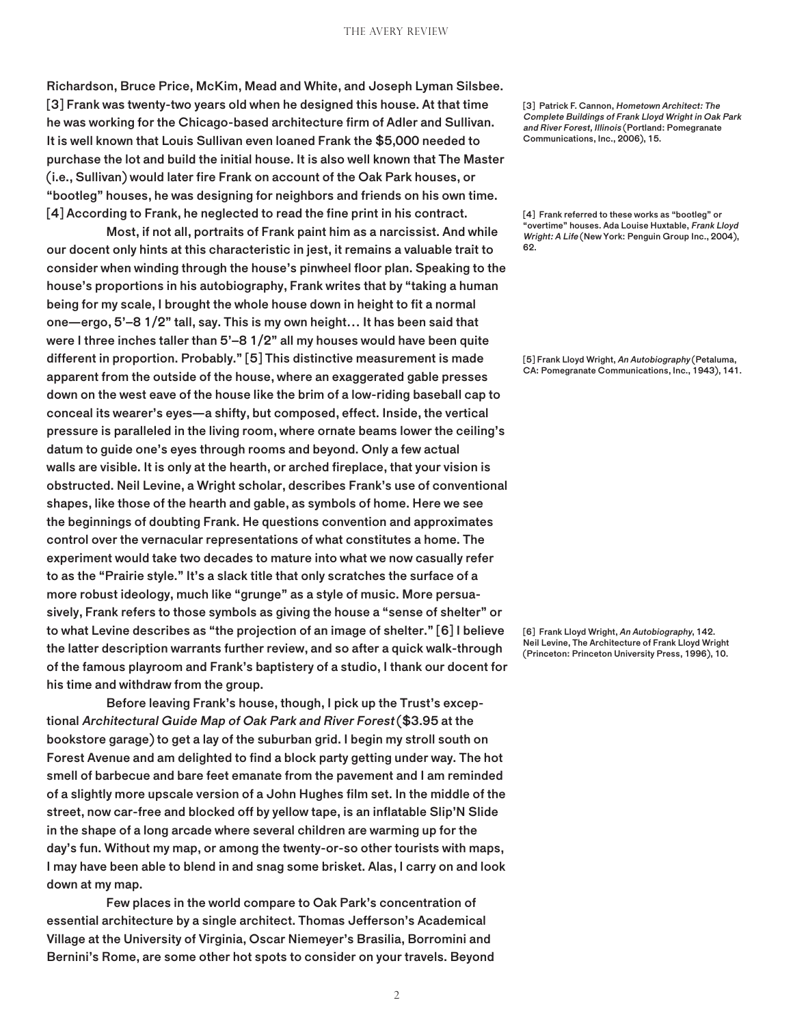Richardson, Bruce Price, McKim, Mead and White, and Joseph Lyman Silsbee. [3] Frank was twenty-two years old when he designed this house. At that time he was working for the Chicago-based architecture firm of Adler and Sullivan. It is well known that Louis Sullivan even loaned Frank the \$5,000 needed to purchase the lot and build the initial house. It is also well known that The Master (i.e., Sullivan) would later fire Frank on account of the Oak Park houses, or "bootleg" houses, he was designing for neighbors and friends on his own time. [4] According to Frank, he neglected to read the fine print in his contract.

Most, if not all, portraits of Frank paint him as a narcissist. And while our docent only hints at this characteristic in jest, it remains a valuable trait to consider when winding through the house's pinwheel floor plan. Speaking to the house's proportions in his autobiography, Frank writes that by "taking a human being for my scale, I brought the whole house down in height to fit a normal one—ergo, 5'–8 1/2" tall, say. This is my own height… It has been said that were I three inches taller than 5'–8 1/2" all my houses would have been quite different in proportion. Probably." [5] This distinctive measurement is made apparent from the outside of the house, where an exaggerated gable presses down on the west eave of the house like the brim of a low-riding baseball cap to conceal its wearer's eyes—a shifty, but composed, effect. Inside, the vertical pressure is paralleled in the living room, where ornate beams lower the ceiling's datum to guide one's eyes through rooms and beyond. Only a few actual walls are visible. It is only at the hearth, or arched fireplace, that your vision is obstructed. Neil Levine, a Wright scholar, describes Frank's use of conventional shapes, like those of the hearth and gable, as symbols of home. Here we see the beginnings of doubting Frank. He questions convention and approximates control over the vernacular representations of what constitutes a home. The experiment would take two decades to mature into what we now casually refer to as the "Prairie style." It's a slack title that only scratches the surface of a more robust ideology, much like "grunge" as a style of music. More persuasively, Frank refers to those symbols as giving the house a "sense of shelter" or to what Levine describes as "the projection of an image of shelter." [6] I believe the latter description warrants further review, and so after a quick walk-through of the famous playroom and Frank's baptistery of a studio, I thank our docent for his time and withdraw from the group.

Before leaving Frank's house, though, I pick up the Trust's exceptional Architectural Guide Map of Oak Park and River Forest (\$3.95 at the bookstore garage) to get a lay of the suburban grid. I begin my stroll south on Forest Avenue and am delighted to find a block party getting under way. The hot smell of barbecue and bare feet emanate from the pavement and I am reminded of a slightly more upscale version of a John Hughes film set. In the middle of the street, now car-free and blocked off by yellow tape, is an inflatable Slip'N Slide in the shape of a long arcade where several children are warming up for the day's fun. Without my map, or among the twenty-or-so other tourists with maps, I may have been able to blend in and snag some brisket. Alas, I carry on and look down at my map.

Few places in the world compare to Oak Park's concentration of essential architecture by a single architect. Thomas Jefferson's Academical Village at the University of Virginia, Oscar Niemeyer's Brasilia, Borromini and Bernini's Rome, are some other hot spots to consider on your travels. Beyond [3] Patrick F. Cannon, Hometown Architect: The Complete Buildings of Frank Lloyd Wright in Oak Park and River Forest, Illinois (Portland: Pomegranate Communications, Inc., 2006), 15.

[4] Frank referred to these works as "bootleg" or "overtime" houses. Ada Louise Huxtable, Frank Lloyd Wright: A Life (New York: Penguin Group Inc., 2004), 62.

[5] Frank Lloyd Wright, An Autobiography (Petaluma, CA: Pomegranate Communications, Inc., 1943), 141.

[6] Frank Lloyd Wright, An Autobiography, 142. Neil Levine, The Architecture of Frank Lloyd Wright (Princeton: Princeton University Press, 1996), 10.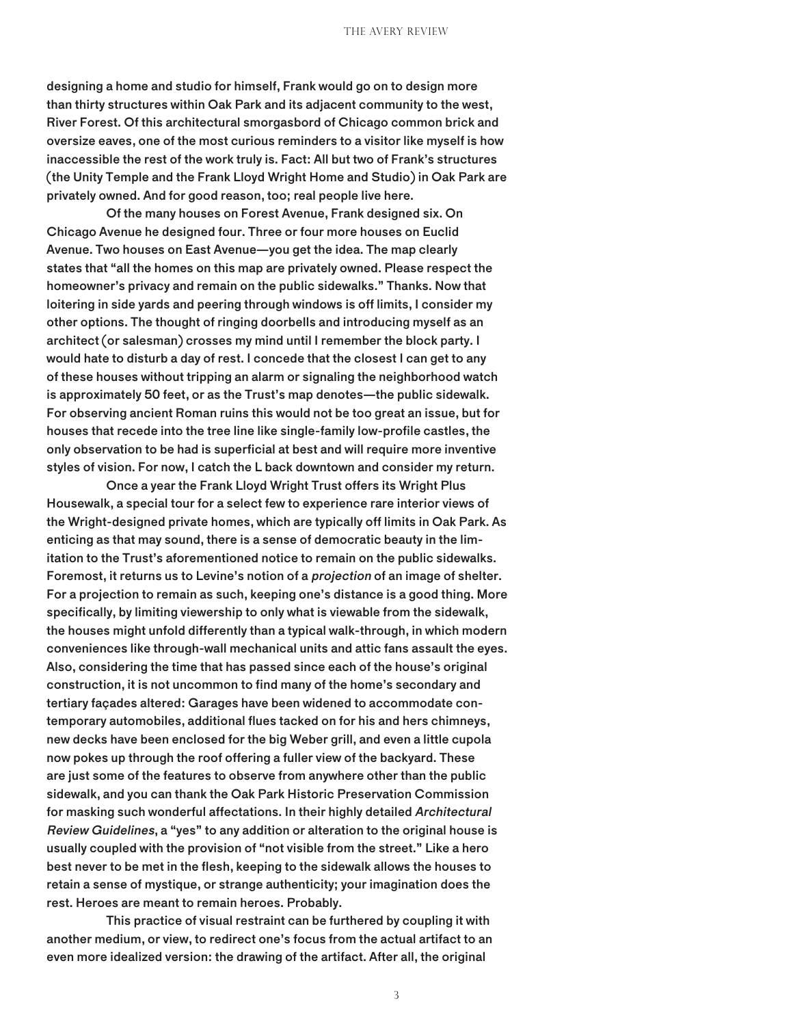designing a home and studio for himself, Frank would go on to design more than thirty structures within Oak Park and its adjacent community to the west, River Forest. Of this architectural smorgasbord of Chicago common brick and oversize eaves, one of the most curious reminders to a visitor like myself is how inaccessible the rest of the work truly is. Fact: All but two of Frank's structures (the Unity Temple and the Frank Lloyd Wright Home and Studio) in Oak Park are privately owned. And for good reason, too; real people live here.

Of the many houses on Forest Avenue, Frank designed six. On Chicago Avenue he designed four. Three or four more houses on Euclid Avenue. Two houses on East Avenue—you get the idea. The map clearly states that "all the homes on this map are privately owned. Please respect the homeowner's privacy and remain on the public sidewalks." Thanks. Now that loitering in side yards and peering through windows is off limits, I consider my other options. The thought of ringing doorbells and introducing myself as an architect (or salesman) crosses my mind until I remember the block party. I would hate to disturb a day of rest. I concede that the closest I can get to any of these houses without tripping an alarm or signaling the neighborhood watch is approximately 50 feet, or as the Trust's map denotes—the public sidewalk. For observing ancient Roman ruins this would not be too great an issue, but for houses that recede into the tree line like single-family low-profile castles, the only observation to be had is superficial at best and will require more inventive styles of vision. For now, I catch the L back downtown and consider my return.

Once a year the Frank Lloyd Wright Trust offers its Wright Plus Housewalk, a special tour for a select few to experience rare interior views of the Wright-designed private homes, which are typically off limits in Oak Park. As enticing as that may sound, there is a sense of democratic beauty in the limitation to the Trust's aforementioned notice to remain on the public sidewalks. Foremost, it returns us to Levine's notion of a projection of an image of shelter. For a projection to remain as such, keeping one's distance is a good thing. More specifically, by limiting viewership to only what is viewable from the sidewalk, the houses might unfold differently than a typical walk-through, in which modern conveniences like through-wall mechanical units and attic fans assault the eyes. Also, considering the time that has passed since each of the house's original construction, it is not uncommon to find many of the home's secondary and tertiary façades altered: Garages have been widened to accommodate contemporary automobiles, additional flues tacked on for his and hers chimneys, new decks have been enclosed for the big Weber grill, and even a little cupola now pokes up through the roof offering a fuller view of the backyard. These are just some of the features to observe from anywhere other than the public sidewalk, and you can thank the Oak Park Historic Preservation Commission for masking such wonderful affectations. In their highly detailed Architectural Review Guidelines, a "yes" to any addition or alteration to the original house is usually coupled with the provision of "not visible from the street." Like a hero best never to be met in the flesh, keeping to the sidewalk allows the houses to retain a sense of mystique, or strange authenticity; your imagination does the rest. Heroes are meant to remain heroes. Probably.

This practice of visual restraint can be furthered by coupling it with another medium, or view, to redirect one's focus from the actual artifact to an even more idealized version: the drawing of the artifact. After all, the original

3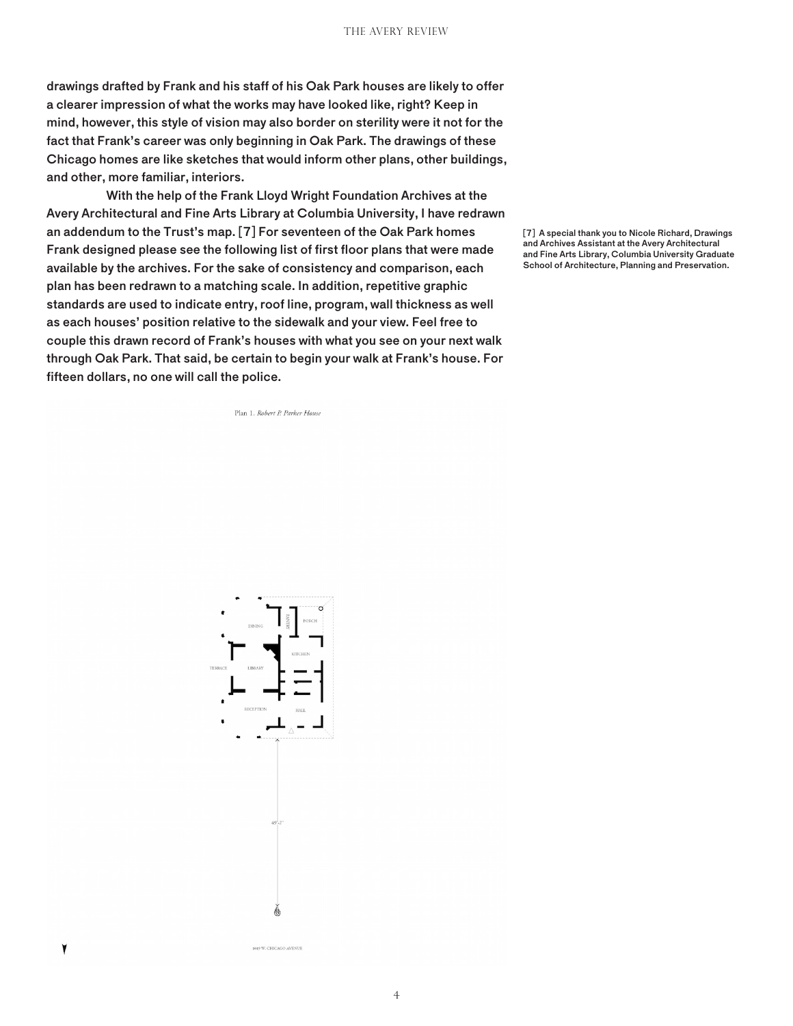drawings drafted by Frank and his staff of his Oak Park houses are likely to offer a clearer impression of what the works may have looked like, right? Keep in mind, however, this style of vision may also border on sterility were it not for the fact that Frank's career was only beginning in Oak Park. The drawings of these Chicago homes are like sketches that would inform other plans, other buildings, and other, more familiar, interiors.

With the help of the Frank Lloyd Wright Foundation Archives at the Avery Architectural and Fine Arts Library at Columbia University, I have redrawn an addendum to the Trust's map. [7] For seventeen of the Oak Park homes Frank designed please see the following list of first floor plans that were made available by the archives. For the sake of consistency and comparison, each plan has been redrawn to a matching scale. In addition, repetitive graphic standards are used to indicate entry, roof line, program, wall thickness as well as each houses' position relative to the sidewalk and your view. Feel free to couple this drawn record of Frank's houses with what you see on your next walk through Oak Park. That said, be certain to begin your walk at Frank's house. For fifteen dollars, no one will call the police.

Plan 1. Robert P. Parker House

[7] A special thank you to Nicole Richard, Drawings and Archives Assistant at the Avery Architectural and Fine Arts Library, Columbia University Graduate School of Architecture, Planning and Preservation.



۷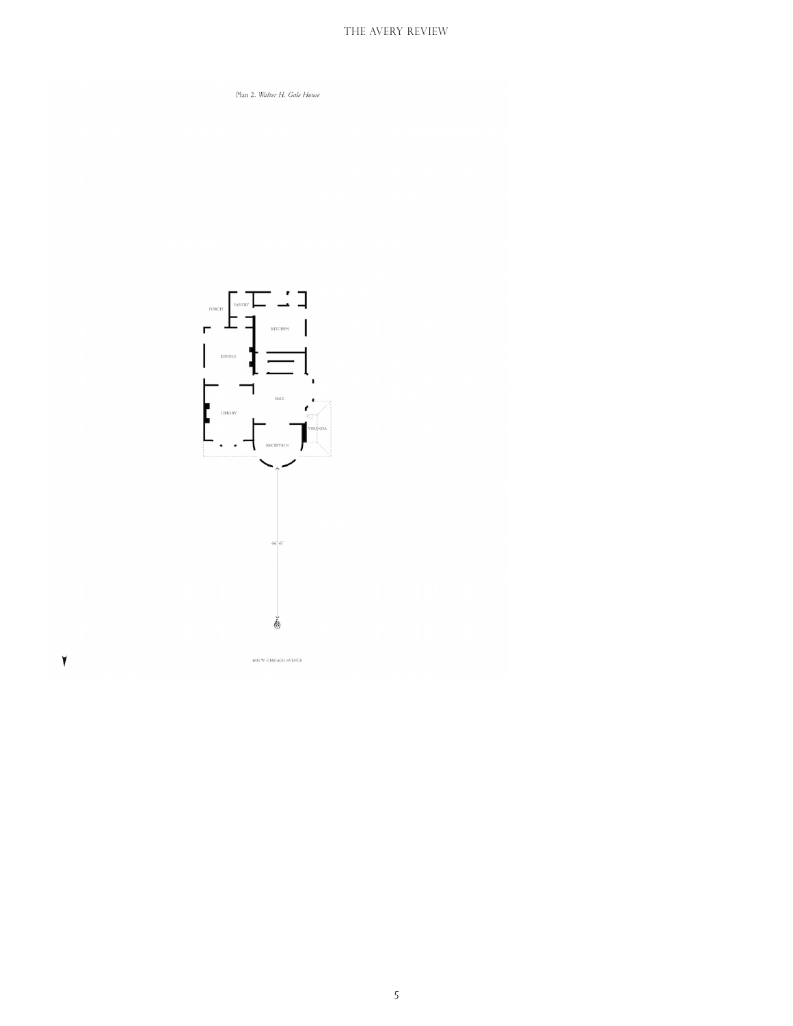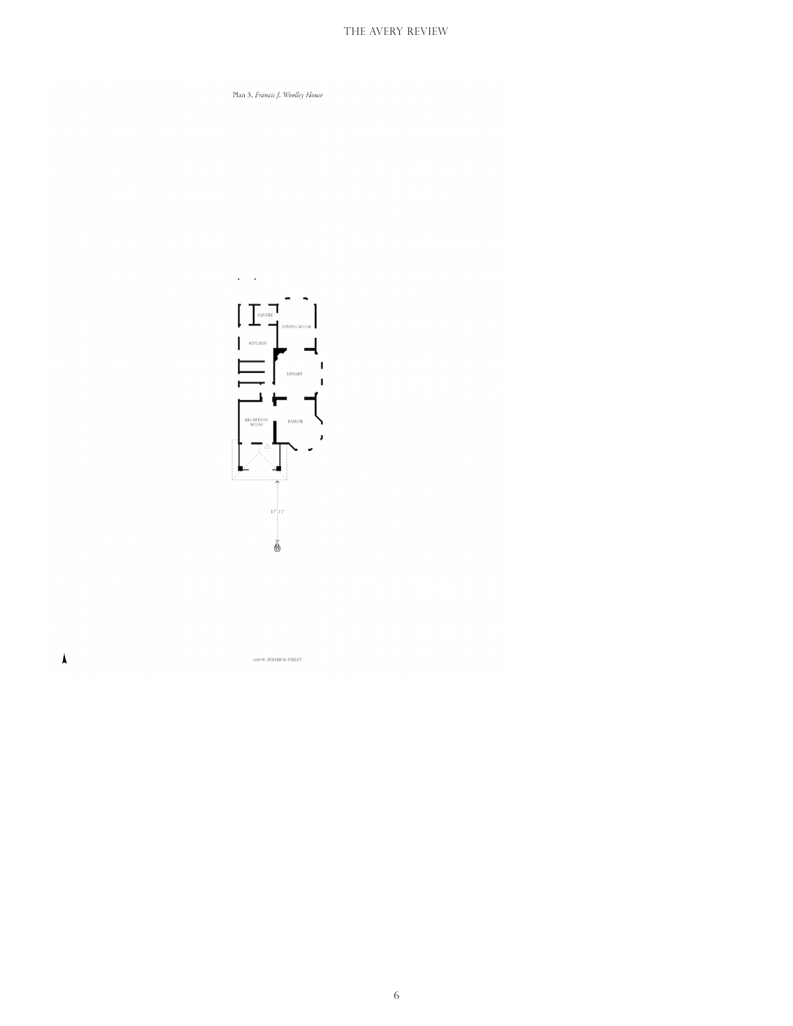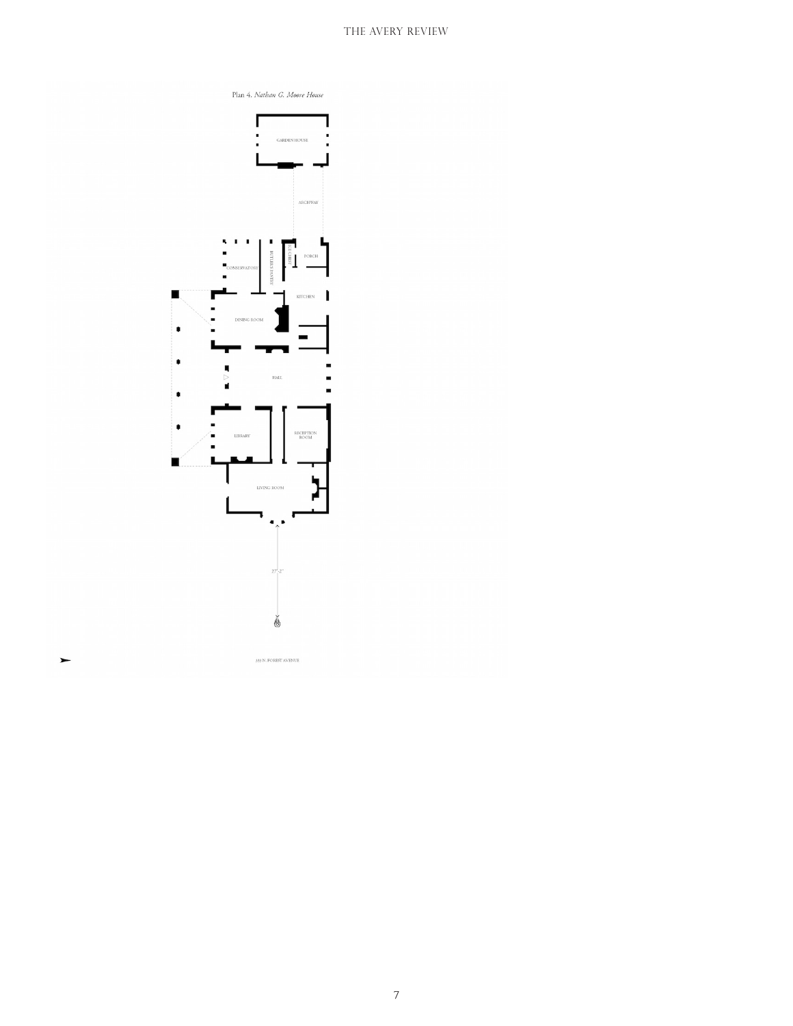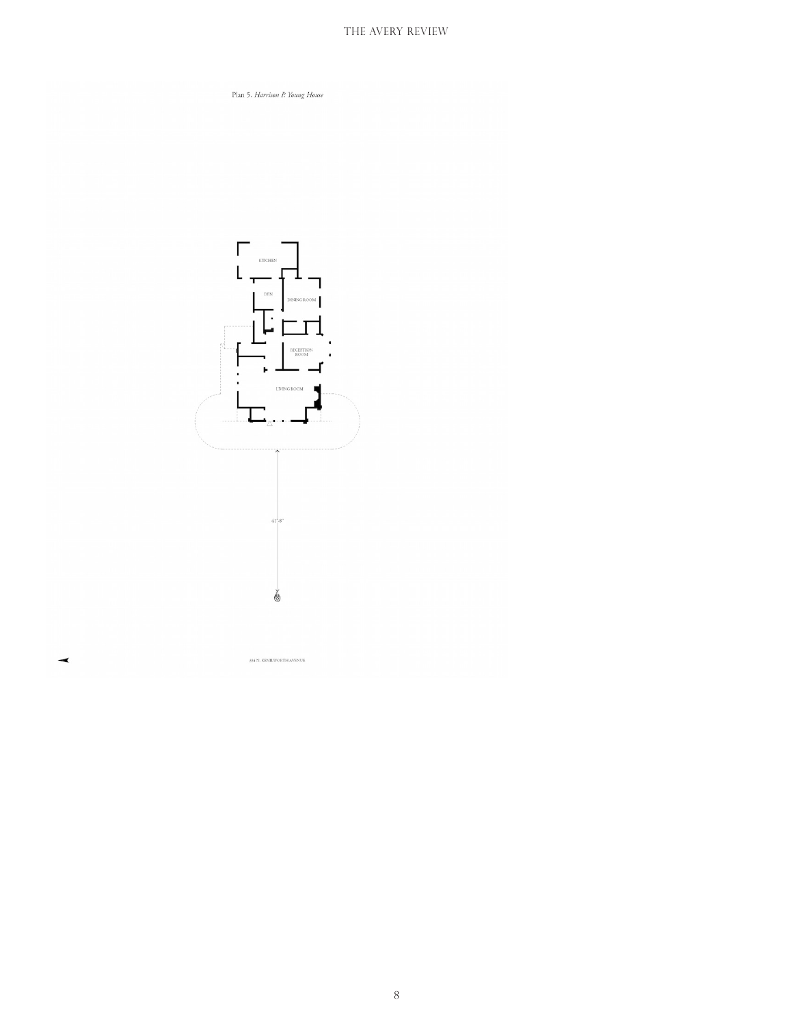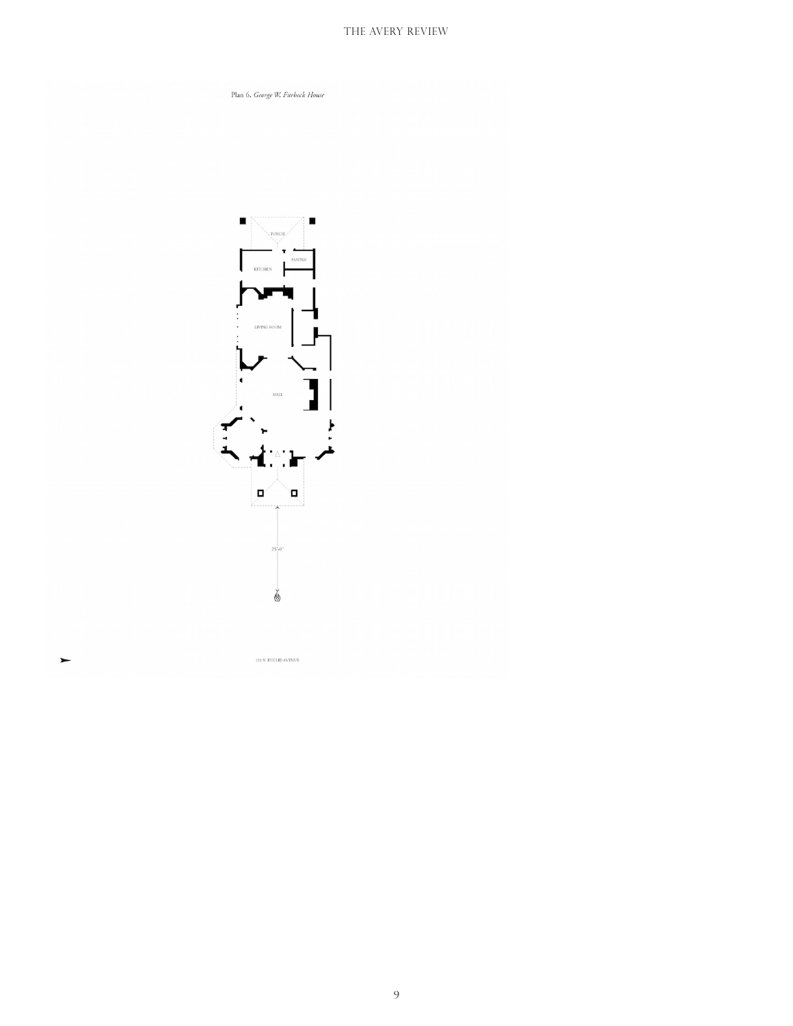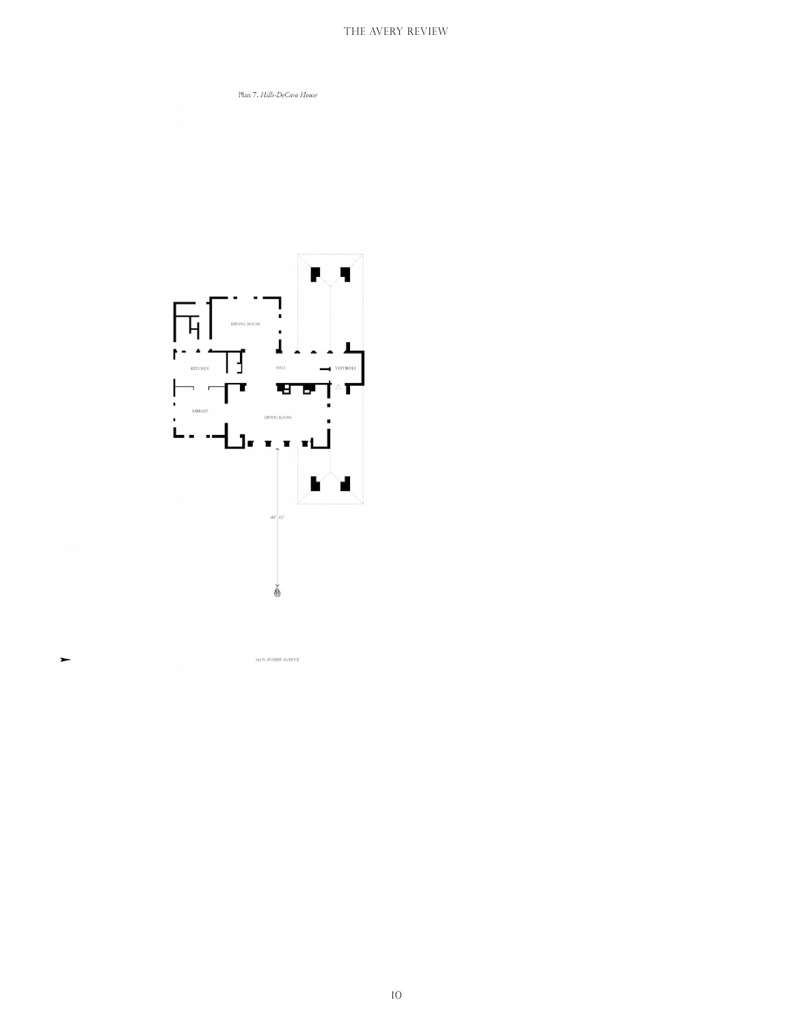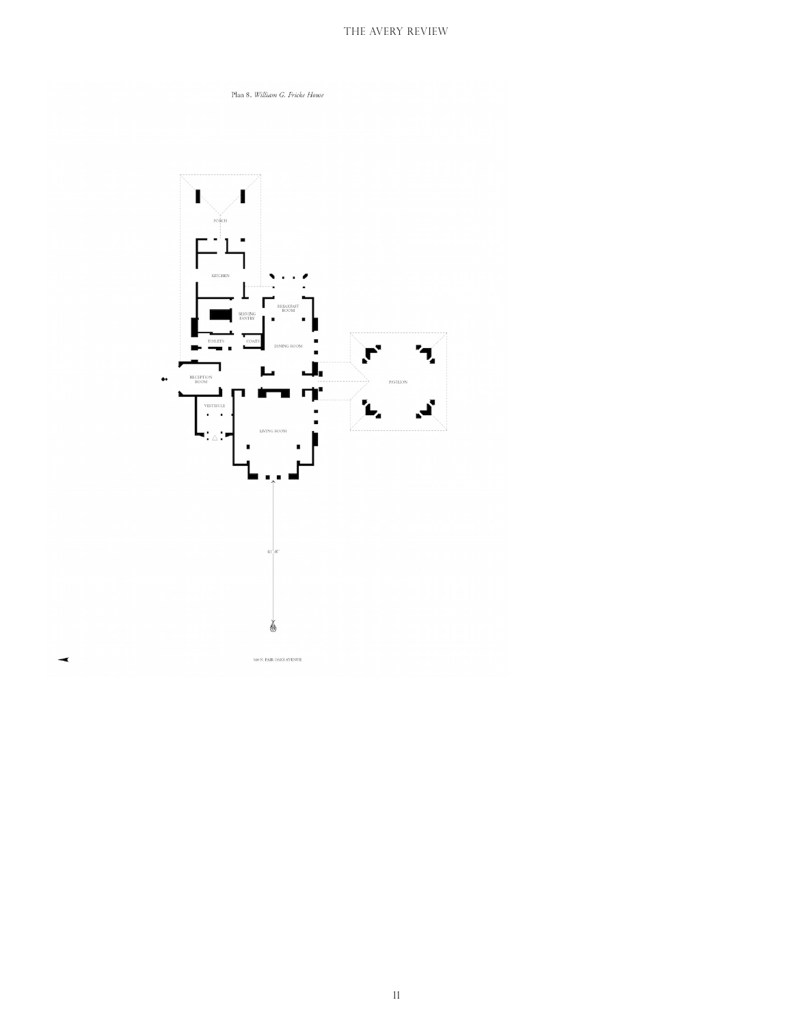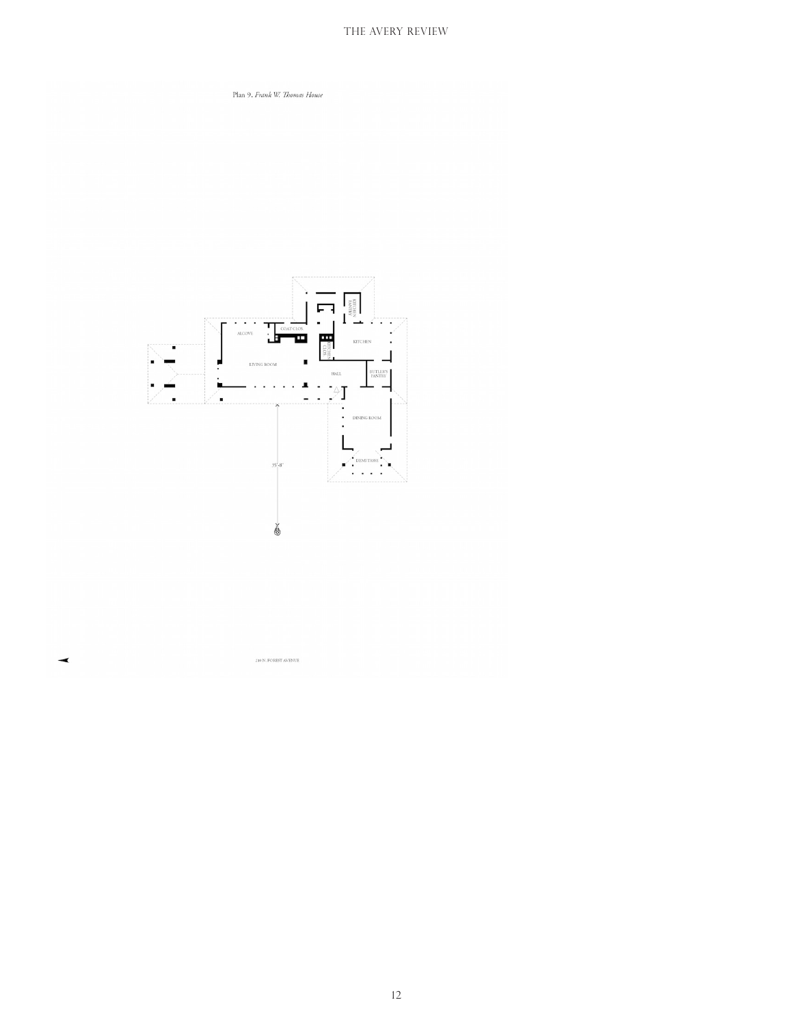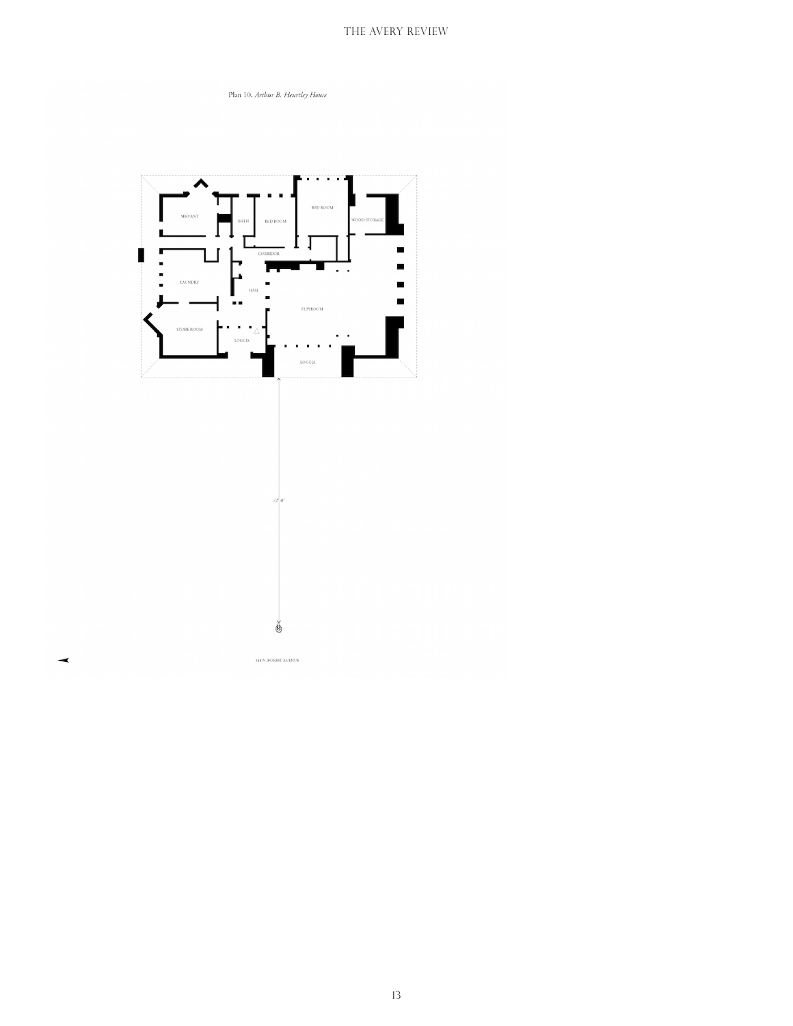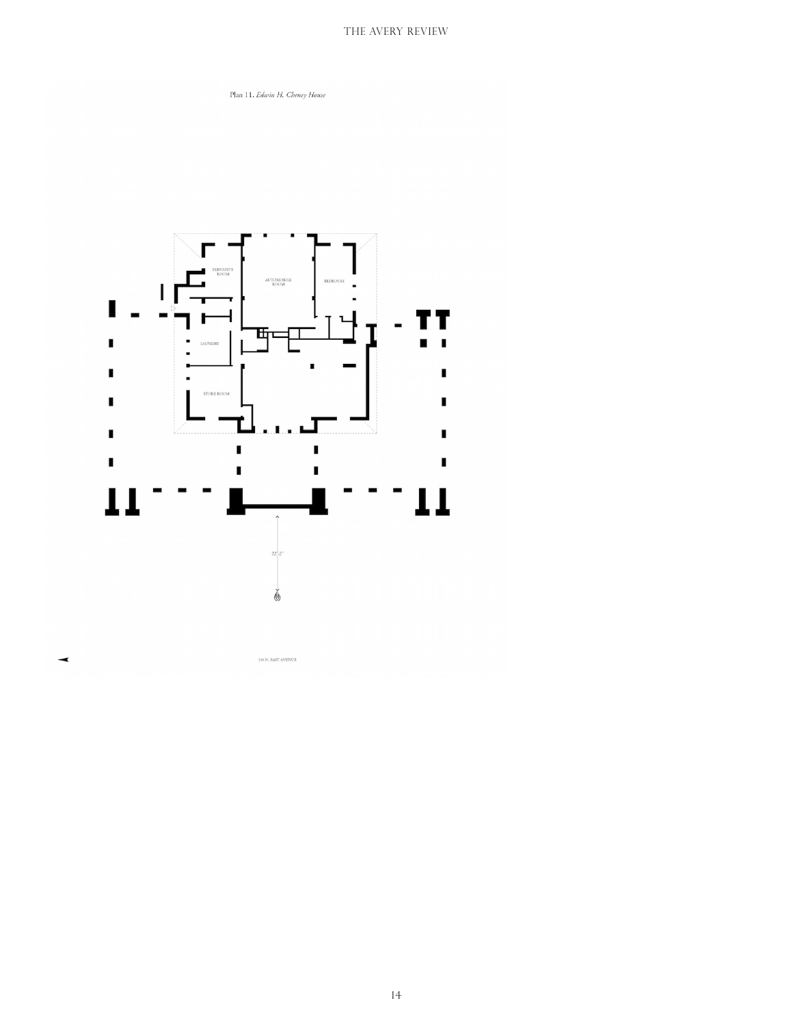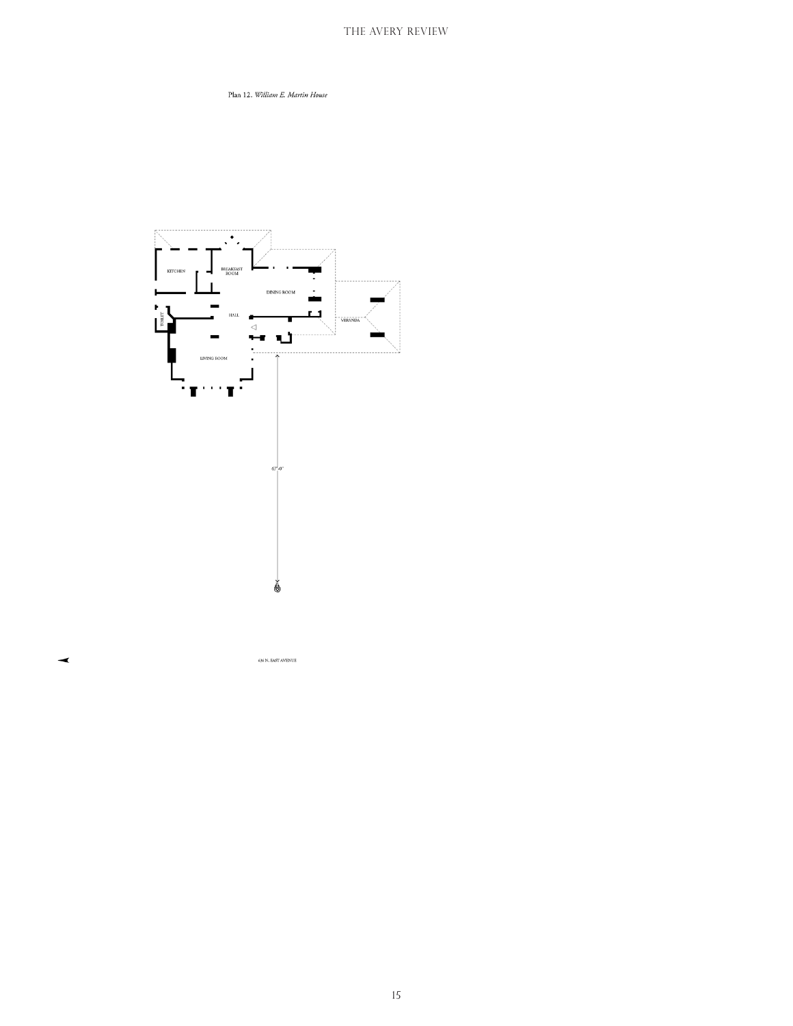Plan 12. William E. Martin House



 $636$  N. EAST AVENUE

⋖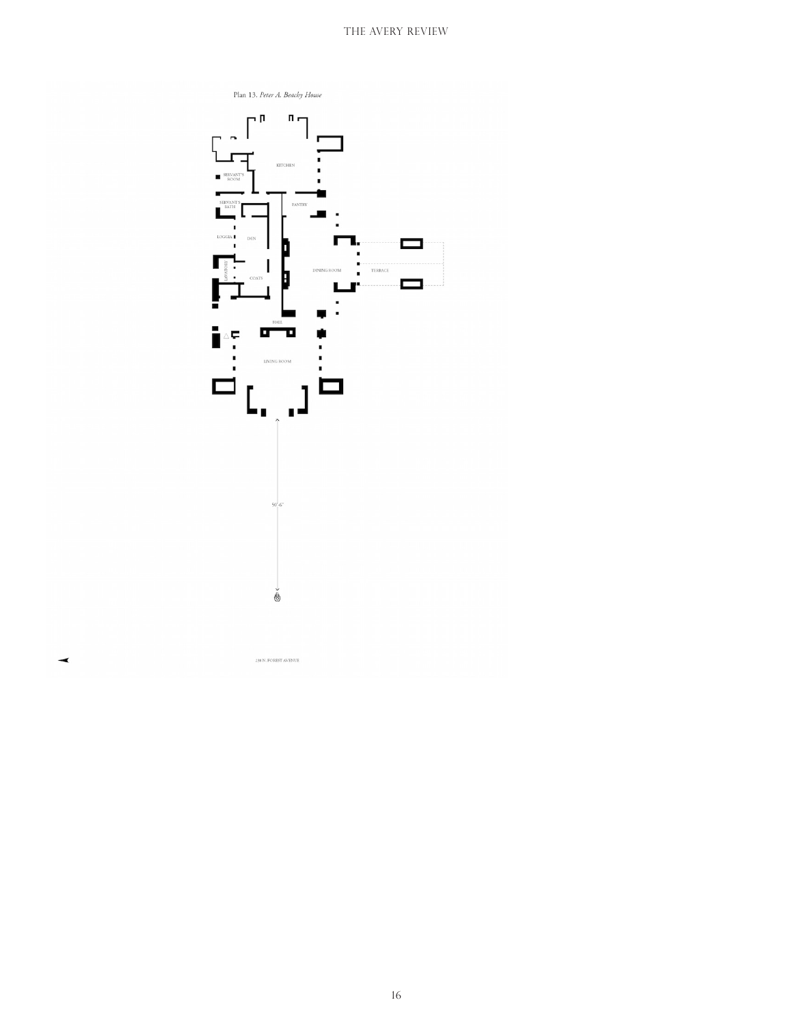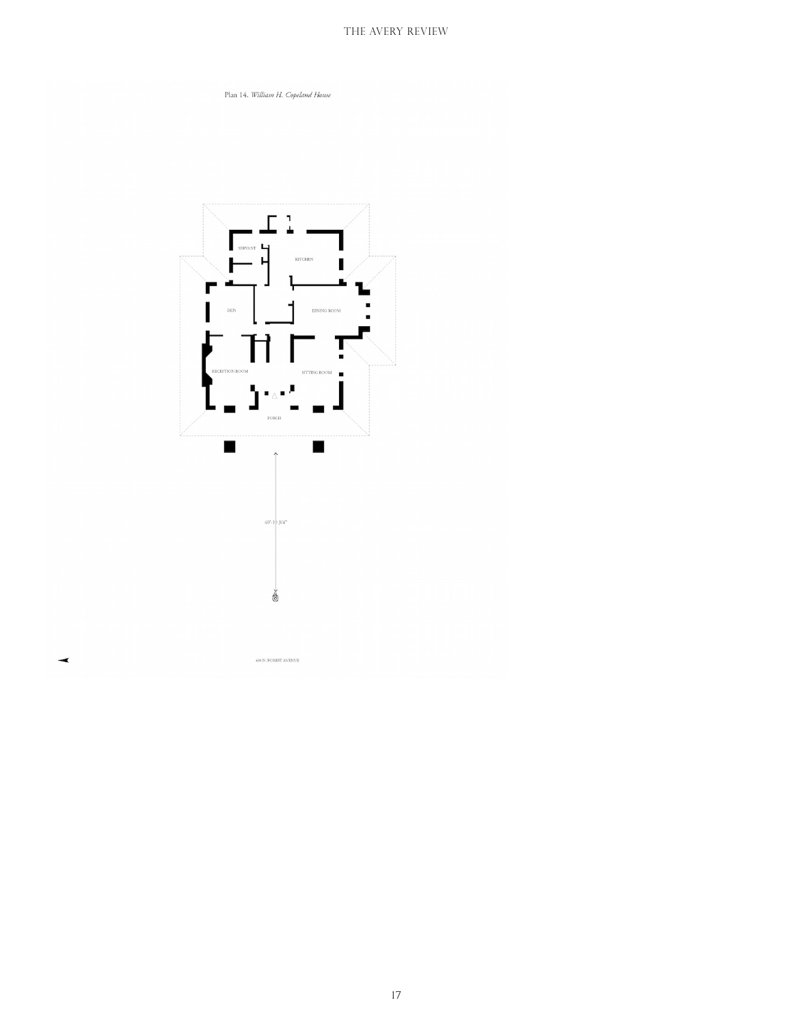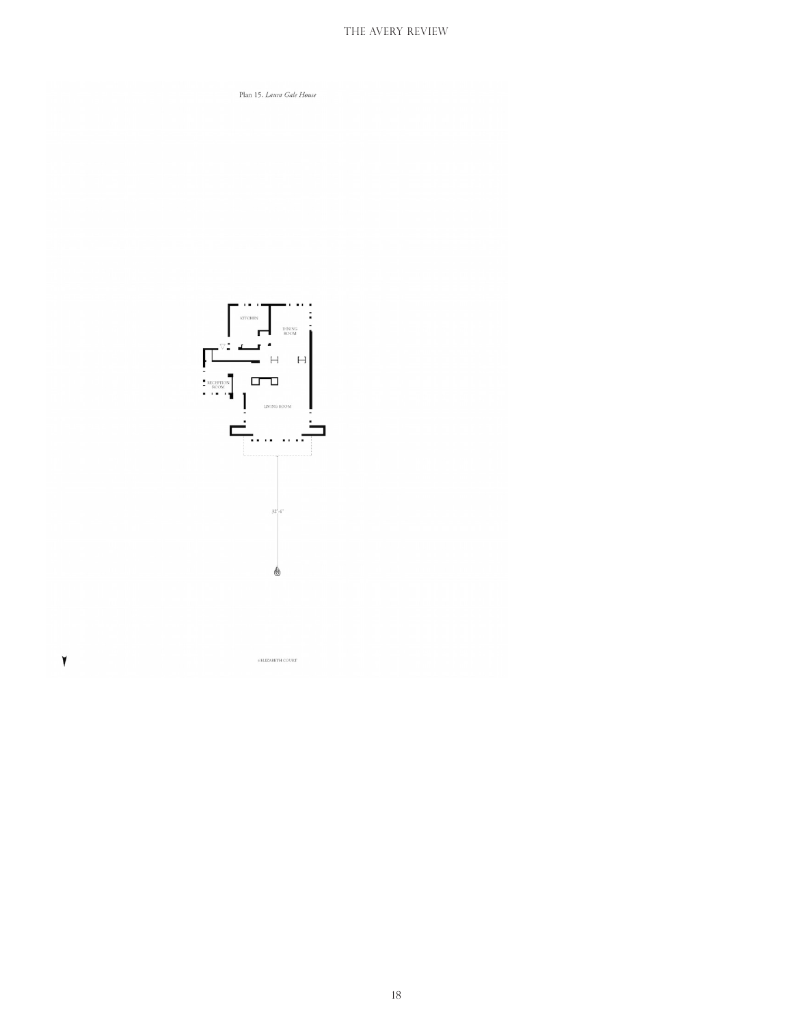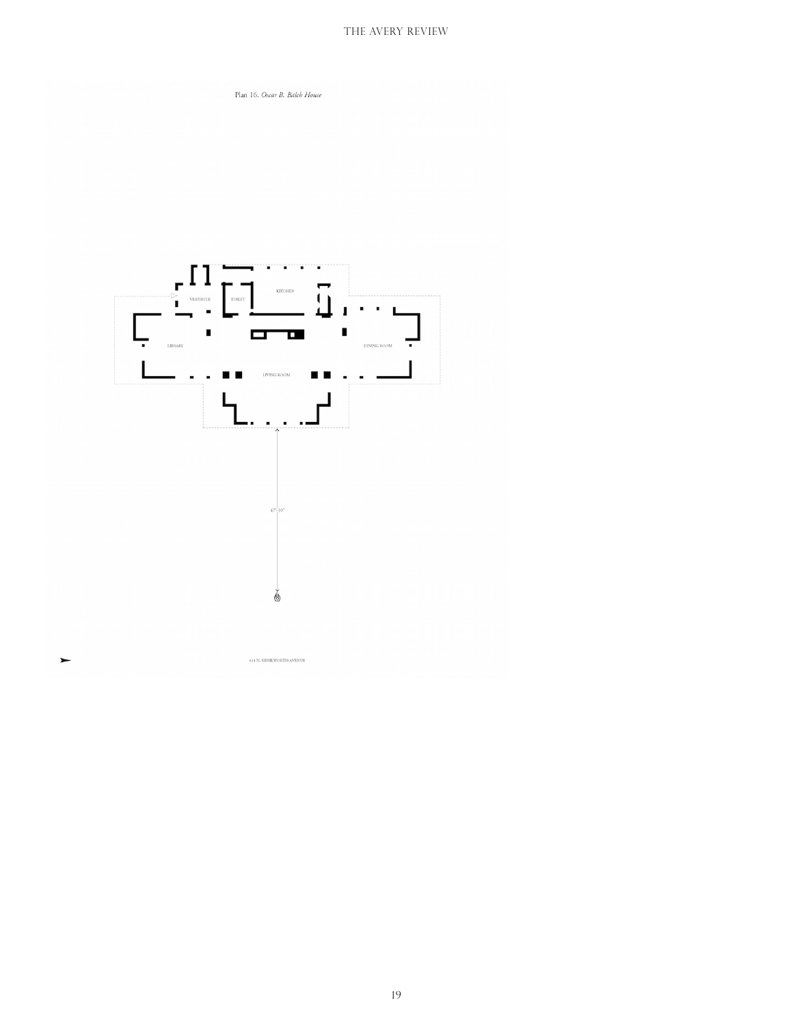